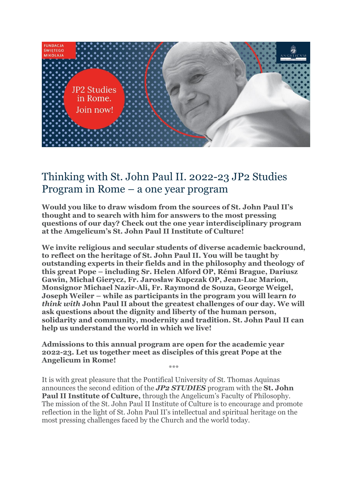

# Thinking with St. John Paul II. 2022-23 JP2 Studies Program in Rome – a one year program

**Would you like to draw wisdom from the sources of St. John Paul II's thought and to search with him for answers to the most pressing questions of our day? Check out the one year interdisciplinary program at the Amgelicum's St. John Paul II Institute of Culture!**

**We invite religious and secular students of diverse academic backround, to reflect on the heritage of St. John Paul II. You will be taught by outstanding experts in their fields and in the philosophy and theology of this great Pope – including Sr. Helen Alford OP, Rémi Brague, Dariusz Gawin, Michał Gierycz, Fr. Jarosław Kupczak OP, Jean-Luc Marion, Monsignor Michael Nazir-Ali, Fr. Raymond de Souza, George Weigel, Joseph Weiler – while as participants in the program you will learn** *to think with* **John Paul II about the greatest challenges of our day. We will ask questions about the dignity and liberty of the human person, solidarity and community, modernity and tradition. St. John Paul II can help us understand the world in which we live!**

**Admissions to this annual program are open for the academic year 2022-23. Let us together meet as disciples of this great Pope at the Angelicum in Rome!** \*\*\*

It is with great pleasure that the Pontifical University of St. Thomas Aquinas announces the second edition of the *JP2 STUDIES* program with the **St. John Paul II Institute of Culture,** through the Angelicum's Faculty of Philosophy. The mission of the St. John Paul II Institute of Culture is to encourage and promote reflection in the light of St. John Paul II's intellectual and spiritual heritage on the most pressing challenges faced by the Church and the world today.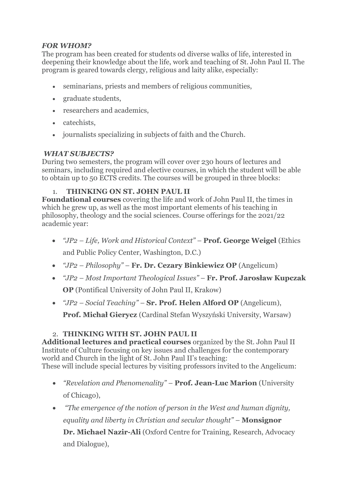## *FOR WHOM?*

The program has been created for students od diverse walks of life, interested in deepening their knowledge about the life, work and teaching of St. John Paul II. The program is geared towards clergy, religious and laity alike, especially:

- seminarians, priests and members of religious communities,
- graduate students,
- researchers and academics,
- catechists.
- journalists specializing in subjects of faith and the Church.

#### *WHAT SUBJECTS?*

During two semesters, the program will cover over 230 hours of lectures and seminars, including required and elective courses, in which the student will be able to obtain up to 50 ECTS credits. The courses will be grouped in three blocks:

## 1. **THINKING ON ST. JOHN PAUL II**

**Foundational courses** covering the life and work of John Paul II, the times in which he grew up, as well as the most important elements of his teaching in philosophy, theology and the social sciences. Course offerings for the 2021/22 academic year:

- *"JP2 – Life, Work and Historical Context"* **Prof. George Weigel** (Ethics and Public Policy Center, Washington, D.C.)
- *"JP2 – Philosophy"* **Fr. Dr. Cezary Binkiewicz OP** (Angelicum)
- *"JP2 – Most Important Theological Issues"* **Fr. Prof. Jarosław Kupczak OP** (Pontifical University of John Paul II, Krakow)
- *"JP2 – Social Teaching"* **Sr. Prof. Helen Alford OP** (Angelicum),

**Prof. Michał Gierycz** (Cardinal Stefan Wyszyński University, Warsaw)

# 2. **THINKING WITH ST. JOHN PAUL II**

**Additional lectures and practical courses** organized by the St. John Paul II Institute of Culture focusing on key issues and challenges for the contemporary world and Church in the light of St. John Paul II's teaching: These will include special lectures by visiting professors invited to the Angelicum:

- *"Revelation and Phenomenality"* **Prof. Jean-Luc Marion** (University of Chicago),
- *"The emergence of the notion of person in the West and human dignity, equality and liberty in Christian and secular thought"* – **Monsignor Dr. Michael Nazir-Ali** (Oxford Centre for Training, Research, Advocacy and Dialogue),